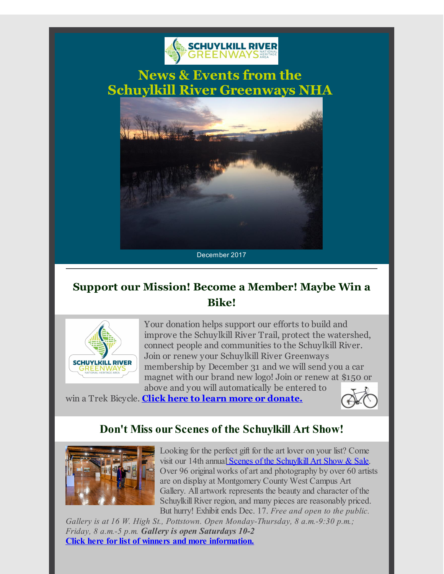

**News & Events from the Schuylkill River Greenways NHA**



## **Support our Mission! Become a Member! Maybe Win a Bike!**



Your donation helps support our efforts to build and improve the Schuylkill River Trail, protect the watershed, connect people and communities to the Schuylkill River. Join or renew your Schuylkill River Greenways membership by December 31 and we will send you a car magnet with our brand new logo! Join or renew at \$150 or above and you will automatically be entered to

win a Trek Bicycle. **Click here to learn more or [donate.](http://r20.rs6.net/tn.jsp?f=0010VtjD8VtZcaXaTsSB9eGrBs_qXjuC0nmZp-Q_6VWbf9KTWarDbQjjCO4pAZQjEeCPfwJt6Y5Hr-0-KRteZrTO6YsY9quZD4iyQmmKXHF27jDErezuJ97vQziaW8p_iVZCEHjgoJETF64HEIqoOANf6-dgFPVC5o-hhu1RIxWvE_HCoTVDDYHhH6kdn64safraQWdyBpCKJk=&c=&ch=)**



## **Don't Miss our Scenes of the Schuylkill Art Show!**



Looking for the perfect gift for the art lover on your list? Come visit our 14th annual Scenes of the [Schuylkill](http://r20.rs6.net/tn.jsp?f=0010VtjD8VtZcaXaTsSB9eGrBs_qXjuC0nmZp-Q_6VWbf9KTWarDbQjjMA_EyiHH_KETd8_2buHe3cyGkCmNBM_j8xtTjNywHR4-JRJHdfeewqhSfS5fC6E6nKpql3nbP-Q5bLEHLFRNbN04BnDyRpXWXwJWAG00oH6lap9NaIs3W03ByjMd4ALwhJYdXRLDeGhrxc2juCUdB7q8pjGyQt2fA==&c=&ch=) Art Show & Sale. Over 96 original works of art and photography by over 60 artists are on display at Montgomery County West Campus Art Gallery. All artwork represents the beauty and character of the Schuylkill River region, and many pieces are reasonably priced. But hurry! Exhibit ends Dec. 17. *Free and open to the public.*

*Gallery is at 16 W. High St., Pottstown. Open Monday-Thursday, 8 a.m.-9:30 p.m.; Friday, 8 a.m.-5 p.m. Gallery is open Saturdays 10-2* **Click here for list of winners and more [information.](http://r20.rs6.net/tn.jsp?f=0010VtjD8VtZcaXaTsSB9eGrBs_qXjuC0nmZp-Q_6VWbf9KTWarDbQjjIW2ZXWJ4Co_Q2ji8NsOez1SCY8iYErVsbIuNzudrDVb-v11VIJkCRCmjg_d3jAUiDJ5pFGct4WFUWam7h8E_R4XY5eR8NoXbm3EXV9FL8AyfCYKNpBjr2XqWooo8T59fDku3ziNKyPh104gb84c14kIlRgtHfZH0A==&c=&ch=)**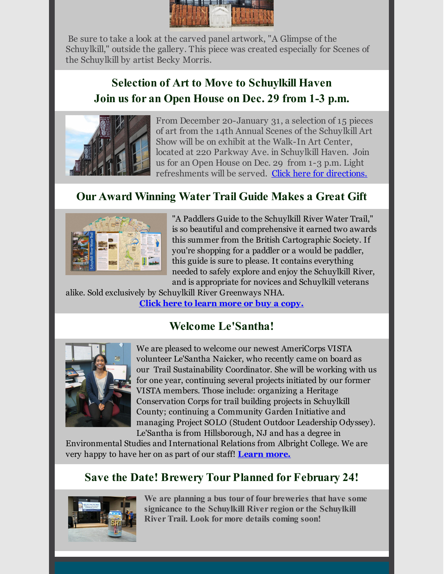

Be sure to take a look at the carved panel artwork, "A Glimpse of the Schuylkill," outside the gallery. This piece was created especially for Scenes of the Schuylkill by artist Becky Morris.

# **Selection of Art to Move to Schuylkill Haven Join us for an Open House on Dec. 29 from 1-3 p.m.**



From December 20-January 31, a selection of 15 pieces of art from the 14th Annual Scenes of the Schuylkill Art Show will be on exhibit at the Walk-In Art Center, located at 220 Parkway Ave. in Schuylkill Haven. Join us for an Open House on Dec. 29 from 1-3 p.m. Light refreshments will be served. Click here for [directions.](http://r20.rs6.net/tn.jsp?f=0010VtjD8VtZcaXaTsSB9eGrBs_qXjuC0nmZp-Q_6VWbf9KTWarDbQjjEXfrdZwCby5HjDVLsoEhjcCV83XAj9Aj-UgWsHbwa3OJio8WMxCQn1Im1qgR8LJHLN2eQFAaHlW4qTmBhdcNsKOrxGyL0DbyWClcN1i4NhqP2u4siQ4nQiFmz4zCx6FwgDgScI6jAvuZFNEsgyi9BU=&c=&ch=)

#### **Our Award Winning Water Trail Guide Makes a Great Gift**



"A Paddlers Guide to the Schuylkill River Water Trail," is so beautiful and comprehensive it earned two awards this summer from the British Cartographic Society. If you're shopping for a paddler or a would be paddler, this guide is sure to please. It contains everything needed to safely explore and enjoy the Schuylkill River, and is appropriate for novices and Schuylkill veterans

alike. Sold exclusively by Schuylkill River Greenways NHA. **Click here to learn more or buy a [copy.](http://r20.rs6.net/tn.jsp?f=0010VtjD8VtZcaXaTsSB9eGrBs_qXjuC0nmZp-Q_6VWbf9KTWarDbQjjFuQHBqHLxWcWL2SB7MJgw0u0yrAML_zL3k75FAEwMFZ70um97wCrJys4n2kaILlGl5evzqddTJmuNj3pVECdUNd2TIQlyHNzFKprEvwR3rqPIEJwNozRVxb4zcAIHExZTy4xmtfMi_smmcAzm-C77kj2TPzuKp2Hg==&c=&ch=)**

### **Welcome Le'Santha!**



We are pleased to welcome our newest AmeriCorps VISTA volunteer Le'Santha Naicker, who recently came on board as our Trail Sustainability Coordinator. She will be working with us for one year, continuing several projects initiated by our former VISTA members. Those include: organizing a Heritage Conservation Corps for trail building projects in Schuylkill County; continuing a Community Garden Initiative and managing Project SOLO (Student Outdoor Leadership Odyssey). Le'Santha is from Hillsborough, NJ and has a degree in

Environmental Studies and International Relations from Albright College. We are very happy to have her on as part of our staff! **[Learn](http://r20.rs6.net/tn.jsp?f=0010VtjD8VtZcaXaTsSB9eGrBs_qXjuC0nmZp-Q_6VWbf9KTWarDbQjjIW2ZXWJ4Co_Q2ji8NsOez1SCY8iYErVsbIuNzudrDVb-v11VIJkCRCmjg_d3jAUiDJ5pFGct4WFUWam7h8E_R4XY5eR8NoXbm3EXV9FL8AyfCYKNpBjr2XqWooo8T59fDku3ziNKyPh104gb84c14kIlRgtHfZH0A==&c=&ch=) more.**

### **Save the Date! Brewery Tour Planned for February 24!**



**We are planning a bus tour of four breweries that have some signicance to the Schuylkill River region or the Schuylkill River Trail. Look for more details coming soon!**